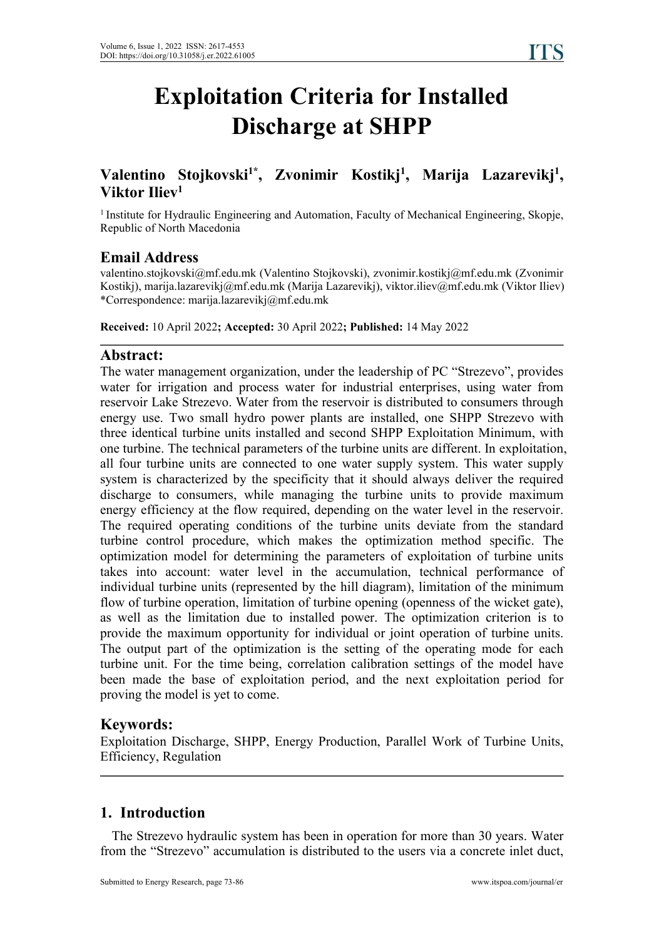# **Exploitation Criteria for Installed Discharge at SHPP**

#### **Valentino Stojkovski1\* , Zvonimir Kostikj 1 , Marija Lazarevikj 1 , Viktor Iliev 1**

<sup>1</sup> Institute for Hydraulic Engineering and Automation, Faculty of Mechanical Engineering, Skopje, Republic of North Macedonia

### **Email Address**

valentino.stojkovski@mf.edu.mk (Valentino Stojkovski), zvonimir.kostikj@mf.edu.mk (Zvonimir Kostikj), marija.lazarevikj@mf.edu.mk (Marija Lazarevikj), viktor.iliev@mf.edu.mk (Viktor Iliev) \*Correspondence: marija.lazarevikj@mf.edu.mk

**Received:** 10 April 2022**; Accepted:** 30 April 2022**; Published:** 14 May 2022

### **Abstract:**

The water management organization, under the leadership of PC "Strezevo", provides water for irrigation and process water for industrial enterprises, using water from reservoir Lake Strezevo. Water from the reservoir is distributed to consumers through energy use. Two small hydro power plants are installed, one SHPP Strezevo with three identical turbine units installed and second SHPP Exploitation Minimum, with one turbine. The technical parameters of the turbine units are different. In exploitation, all four turbine units are connected to one water supply system. This water supply system is characterized by the specificity that it should always deliver the required discharge to consumers, while managing the turbine units to provide maximum energy efficiency at the flow required, depending on the water level in the reservoir. The required operating conditions of the turbine units deviate from the standard turbine control procedure, which makes the optimization method specific. The optimization model for determining the parameters of exploitation of turbine units takes into account: water level in the accumulation, technical performance of individual turbine units (represented by the hill diagram), limitation of the minimum flow of turbine operation, limitation of turbine opening (openness of the wicket gate), as well as the limitation due to installed power. The optimization criterion is to provide the maximum opportunity for individual or joint operation of turbine units. The output part of the optimization is the setting of the operating mode for each turbine unit. For the time being, correlation calibration settings of the model have been made the base of exploitation period, and the next exploitation period for proving the model is yet to come.

### **Keywords:**

Exploitation Discharge, SHPP, Energy Production, Parallel Work of Turbine Units, Efficiency, Regulation

# **1. Introduction**

The Strezevo hydraulic system has been in operation for more than 30 years. Water from the "Strezevo" accumulation is distributed to the users via a concrete inlet duct,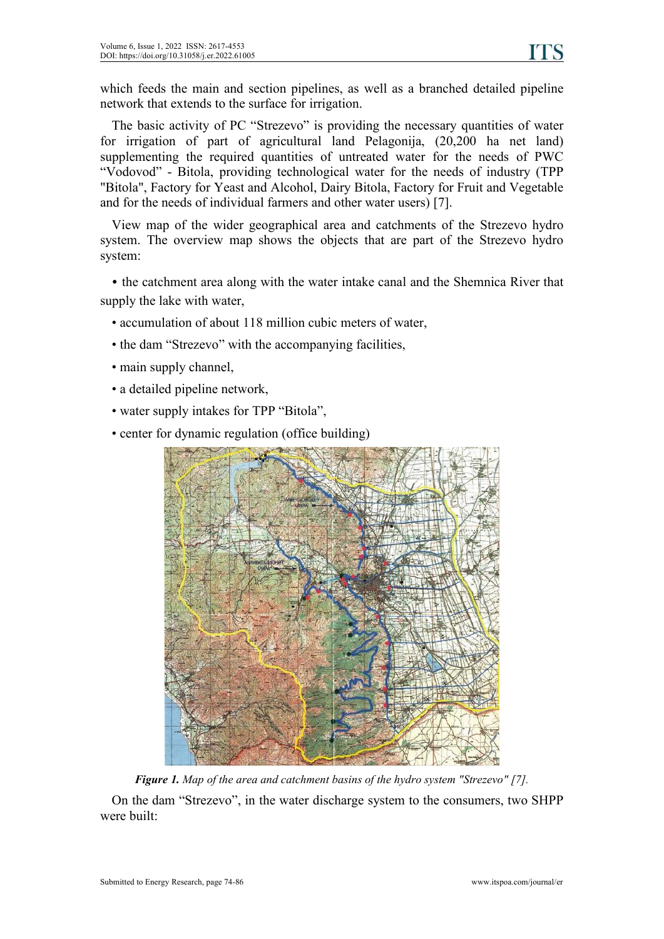which feeds the main and section pipelines, as well as a branched detailed pipeline network that extends to the surface for irrigation.

The basic activity of PC "Strezevo" is providing the necessary quantities of water for irrigation of part of agricultural land Pelagonija, (20,200 ha net land) supplementing the required quantities of untreated water for the needs of PWC "Vodovod" - Bitola, providing technological water for the needs of industry (TPP "Bitola", Factory for Yeast and Alcohol, Dairy Bitola, Factory for Fruit and Vegetable and for the needs of individual farmers and other water users) [7].

View map of the wider geographical area and catchments of the Strezevo hydro system. The overview map shows the objects that are part of the Strezevo hydro system:

• the catchment area along with the water intake canal and the Shemnica River that supply the lake with water,

- accumulation of about 118 million cubic meters of water,
- the dam "Strezevo" with the accompanying facilities,
- main supply channel,
- a detailed pipeline network,
- water supply intakes for TPP "Bitola",
- center for dynamic regulation (office building)



*Figure 1. Map of the area and catchment basins of the hydro system "Strezevo" [7].*

On the dam "Strezevo", in the water discharge system to the consumers, two SHPP were built: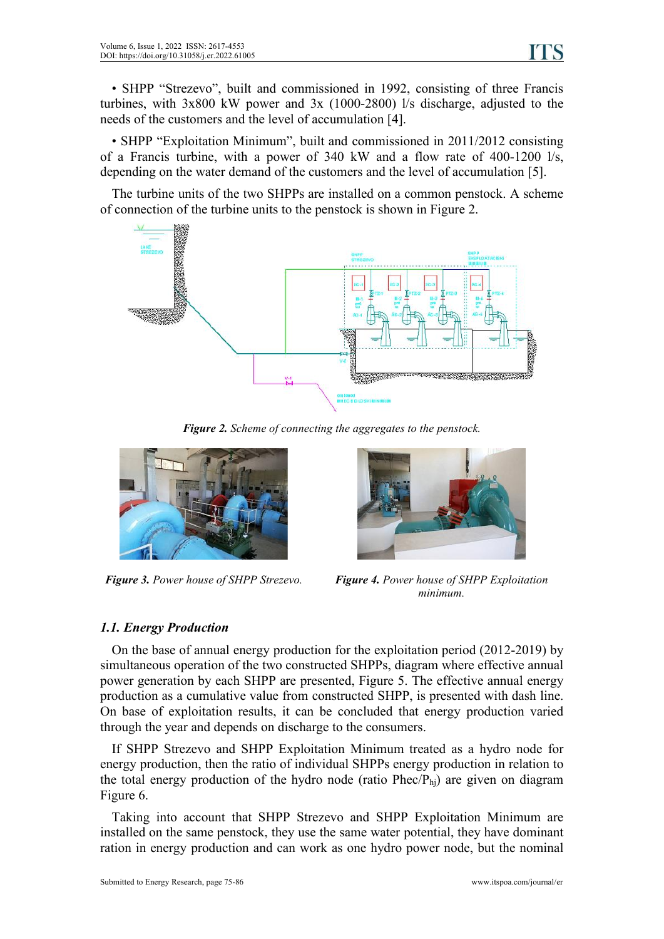• SHPP "Strezevo", built and commissioned in 1992, consisting of three Francis turbines, with  $3x800$  kW power and  $3x$  (1000-2800) l/s discharge, adjusted to the needs of the customers and the level of accumulation [4].

• SHPP "Exploitation Minimum", built and commissioned in 2011/2012 consisting of a Francis turbine, with a power of 340 kW and a flow rate of 400-1200 l/s, depending on the water demand of the customers and the level of accumulation [5].

The turbine units of the two SHPPs are installed on a common penstock. A scheme of connection of the turbine units to the penstock is shown in Figure 2.



*Figure 2. Scheme of connecting the aggregates to the penstock.*





*Figure 3. Power house of SHPP Strezevo. Figure 4. Power house of SHPP Exploitation minimum.*

# *1.1. Energy Production*

On the base of annual energy production for the exploitation period (2012-2019) by simultaneous operation of the two constructed SHPPs, diagram where effective annual power generation by each SHPP are presented, Figure 5. The effective annual energy production as a cumulative value from constructed SHPP, is presented with dash line. On base of exploitation results, it can be concluded that energy production varied through the year and depends on discharge to the consumers.

If SHPP Strezevo and SHPP Exploitation Minimum treated as a hydro node for energy production, then the ratio of individual SHPPs energy production in relation to the total energy production of the hydro node (ratio Phec/P<sub>hi</sub>) are given on diagram Figure 6.

Taking into account that SHPP Strezevo and SHPP Exploitation Minimum are installed on the same penstock, they use the same water potential, they have dominant ration in energy production and can work as one hydro power node, but the nominal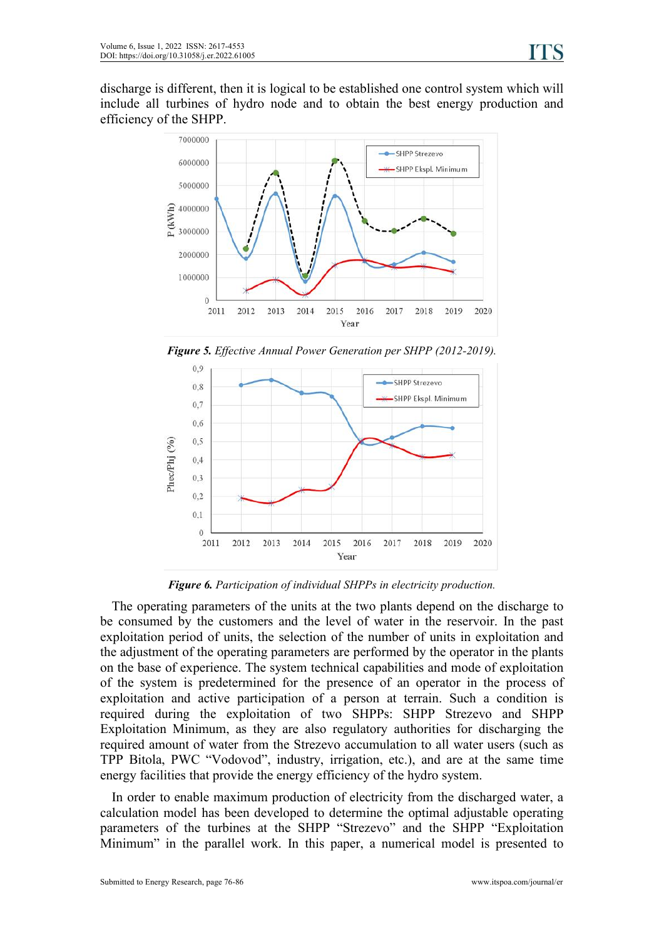discharge is different, then it is logical to be established one control system which will include all turbines of hydro node and to obtain the best energy production and efficiency of the SHPP.



*Figure 5. Ef ective AnnualPower Generation per SHPP (2012-2019).*



*Figure 6. Participation of individual SHPPs in electricity production.*

The operating parameters of the units at the two plants depend on the discharge to be consumed by the customers and the level of water in the reservoir. In the past exploitation period of units, the selection of the number of units in exploitation and the adjustment of the operating parameters are performed by the operator in the plants on the base of experience. The system technical capabilities and mode of exploitation of the system is predetermined for the presence of an operator in the process of exploitation and active participation of a person at terrain. Such a condition is required during the exploitation of two SHPPs: SHPP Strezevo and SHPP Exploitation Minimum, as they are also regulatory authorities for discharging the required amount of water from the Strezevo accumulation to all water users (such as TPP Bitola, PWC "Vodovod", industry, irrigation, etc.), and are at the same time energy facilities that provide the energy efficiency of the hydro system.

In order to enable maximum production of electricity from the discharged water, a calculation model has been developed to determine the optimal adjustable operating parameters of the turbines at the SHPP "Strezevo" and the SHPP "Exploitation Minimum" in the parallel work. In this paper, a numerical model is presented to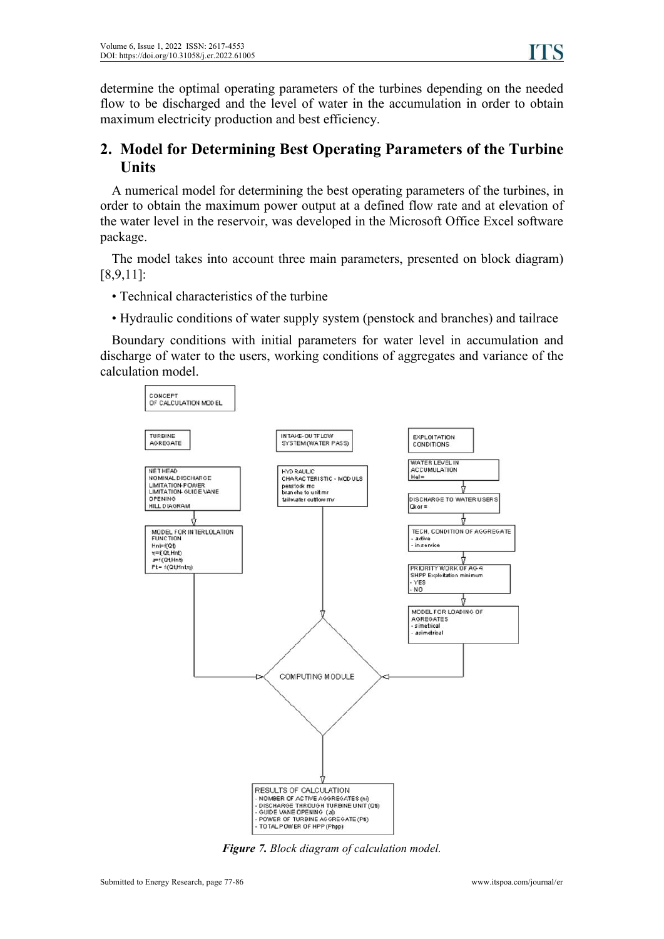determine the optimal operating parameters of the turbines depending on the needed flow to be discharged and the level of water in the accumulation in order to obtain maximum electricity production and best efficiency.

# **2. Model for Determining Best Operating Parameters ofthe Turbine Units**

A numerical model for determining the best operating parameters of the turbines, in order to obtain the maximum power output at a defined flow rate and at elevation of the water level in the reservoir, was developed in the Microsoft Office Excel software package.

The model takes into account three main parameters, presented on block diagram) [8,9,11]:

- Technical characteristics of the turbine
- Hydraulic conditions of water supply system (penstock and branches) and tailrace

Boundary conditions with initial parameters for water level in accumulation and discharge of water to the users, working conditions of aggregates and variance of the calculation model.



*Figure 7. Block diagram of calculation model.*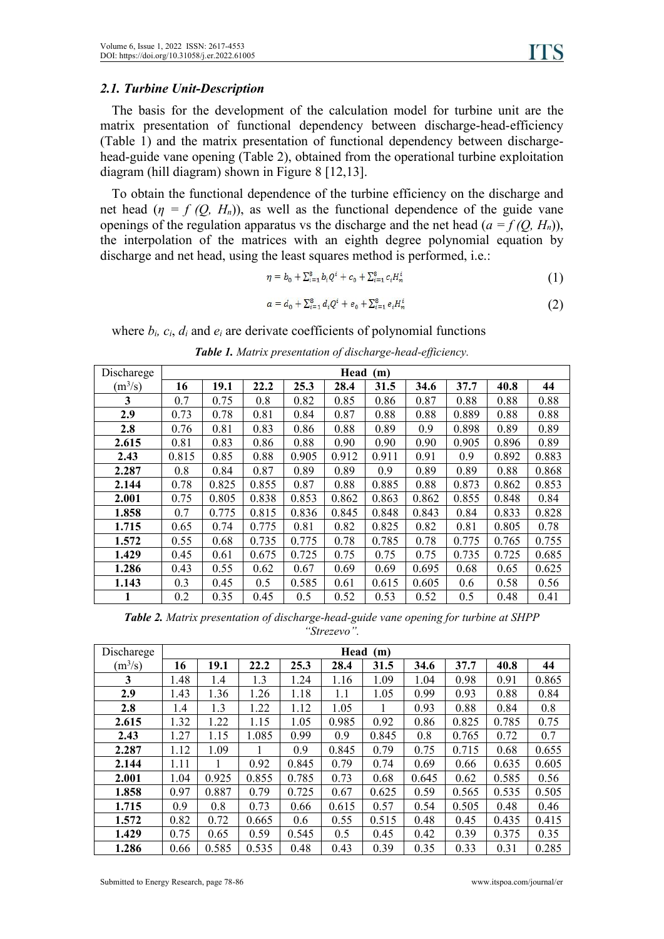#### *2.1. Turbine Unit-Description*

The basis for the development of the calculation model for turbine unit are the matrix presentation of functional dependency between discharge-head-efficiency (Table 1) and the matrix presentation of functional dependency between discharge head-guide vane opening (Table 2), obtained from the operational turbine exploitation diagram (hill diagram) shown in Figure 8 [12,13].

To obtain the functional dependence of the turbine efficiency on the discharge and net head  $(\eta = f(Q, H_n))$ , as well as the functional dependence of the guide vane openings of the regulation apparatus vs the discharge and the net head  $(a = f(Q, H_n))$ , the interpolation of the matrices with an eighth degree polynomial equation by discharge and net head, using the least squares method is performed, i.e.:

$$
\eta = b_0 + \sum_{i=1}^8 b_i Q^i + c_0 + \sum_{i=1}^8 c_i H_n^i \tag{1}
$$

$$
a = d_0 + \sum_{i=1}^{8} d_i Q^i + e_0 + \sum_{i=1}^{8} e_i H_n^i \tag{2}
$$

where  $b_i$ ,  $c_i$ ,  $d_i$  and  $e_i$  are derivate coefficients of polynomial functions

| Discharege | Head (m) |       |       |       |       |       |       |       |       |       |
|------------|----------|-------|-------|-------|-------|-------|-------|-------|-------|-------|
| $(m^3/s)$  | 16       | 19.1  | 22.2  | 25.3  | 28.4  | 31.5  | 34.6  | 37.7  | 40.8  | 44    |
| 3          | 0.7      | 0.75  | 0.8   | 0.82  | 0.85  | 0.86  | 0.87  | 0.88  | 0.88  | 0.88  |
| 2.9        | 0.73     | 0.78  | 0.81  | 0.84  | 0.87  | 0.88  | 0.88  | 0.889 | 0.88  | 0.88  |
| 2.8        | 0.76     | 0.81  | 0.83  | 0.86  | 0.88  | 0.89  | 0.9   | 0.898 | 0.89  | 0.89  |
| 2.615      | 0.81     | 0.83  | 0.86  | 0.88  | 0.90  | 0.90  | 0.90  | 0.905 | 0.896 | 0.89  |
| 2.43       | 0.815    | 0.85  | 0.88  | 0.905 | 0.912 | 0.911 | 0.91  | 0.9   | 0.892 | 0.883 |
| 2.287      | 0.8      | 0.84  | 0.87  | 0.89  | 0.89  | 0.9   | 0.89  | 0.89  | 0.88  | 0.868 |
| 2.144      | 0.78     | 0.825 | 0.855 | 0.87  | 0.88  | 0.885 | 0.88  | 0.873 | 0.862 | 0.853 |
| 2.001      | 0.75     | 0.805 | 0.838 | 0.853 | 0.862 | 0.863 | 0.862 | 0.855 | 0.848 | 0.84  |
| 1.858      | 0.7      | 0.775 | 0.815 | 0.836 | 0.845 | 0.848 | 0.843 | 0.84  | 0.833 | 0.828 |
| 1.715      | 0.65     | 0.74  | 0.775 | 0.81  | 0.82  | 0.825 | 0.82  | 0.81  | 0.805 | 0.78  |
| 1.572      | 0.55     | 0.68  | 0.735 | 0.775 | 0.78  | 0.785 | 0.78  | 0.775 | 0.765 | 0.755 |
| 1.429      | 0.45     | 0.61  | 0.675 | 0.725 | 0.75  | 0.75  | 0.75  | 0.735 | 0.725 | 0.685 |
| 1.286      | 0.43     | 0.55  | 0.62  | 0.67  | 0.69  | 0.69  | 0.695 | 0.68  | 0.65  | 0.625 |
| 1.143      | 0.3      | 0.45  | 0.5   | 0.585 | 0.61  | 0.615 | 0.605 | 0.6   | 0.58  | 0.56  |
|            | 0.2      | 0.35  | 0.45  | 0.5   | 0.52  | 0.53  | 0.52  | 0.5   | 0.48  | 0.41  |

*Table 1. Matrix presentation of discharge-head-efficiency.* 

| <b>Table 2.</b> Matrix presentation of discharge-head-guide vane opening for turbine at SHPP |  |
|----------------------------------------------------------------------------------------------|--|
| "Strezevo".                                                                                  |  |

| Discharege | Head<br>(m) |       |       |       |       |       |       |       |       |       |
|------------|-------------|-------|-------|-------|-------|-------|-------|-------|-------|-------|
| $(m^3/s)$  | 16          | 19.1  | 22.2  | 25.3  | 28.4  | 31.5  | 34.6  | 37.7  | 40.8  | 44    |
| 3          | 1.48        | 1.4   | 1.3   | 1.24  | 1.16  | 1.09  | 1.04  | 0.98  | 0.91  | 0.865 |
| 2.9        | 1.43        | 1.36  | 1.26  | 1.18  | 1.1   | 1.05  | 0.99  | 0.93  | 0.88  | 0.84  |
| 2.8        | 1.4         | 1.3   | .22   | 1.12  | 1.05  |       | 0.93  | 0.88  | 0.84  | 0.8   |
| 2.615      | 1.32        | 1.22  | 1.15  | 1.05  | 0.985 | 0.92  | 0.86  | 0.825 | 0.785 | 0.75  |
| 2.43       | 1.27        | 1.15  | 1.085 | 0.99  | 0.9   | 0.845 | 0.8   | 0.765 | 0.72  | 0.7   |
| 2.287      | 1.12        | 1.09  |       | 0.9   | 0.845 | 0.79  | 0.75  | 0.715 | 0.68  | 0.655 |
| 2.144      | 1.11        |       | 0.92  | 0.845 | 0.79  | 0.74  | 0.69  | 0.66  | 0.635 | 0.605 |
| 2.001      | 1.04        | 0.925 | 0.855 | 0.785 | 0.73  | 0.68  | 0.645 | 0.62  | 0.585 | 0.56  |
| 1.858      | 0.97        | 0.887 | 0.79  | 0.725 | 0.67  | 0.625 | 0.59  | 0.565 | 0.535 | 0.505 |
| 1.715      | 0.9         | 0.8   | 0.73  | 0.66  | 0.615 | 0.57  | 0.54  | 0.505 | 0.48  | 0.46  |
| 1.572      | 0.82        | 0.72  | 0.665 | 0.6   | 0.55  | 0.515 | 0.48  | 0.45  | 0.435 | 0.415 |
| 1.429      | 0.75        | 0.65  | 0.59  | 0.545 | 0.5   | 0.45  | 0.42  | 0.39  | 0.375 | 0.35  |
| 1.286      | 0.66        | 0.585 | 0.535 | 0.48  | 0.43  | 0.39  | 0.35  | 0.33  | 0.31  | 0.285 |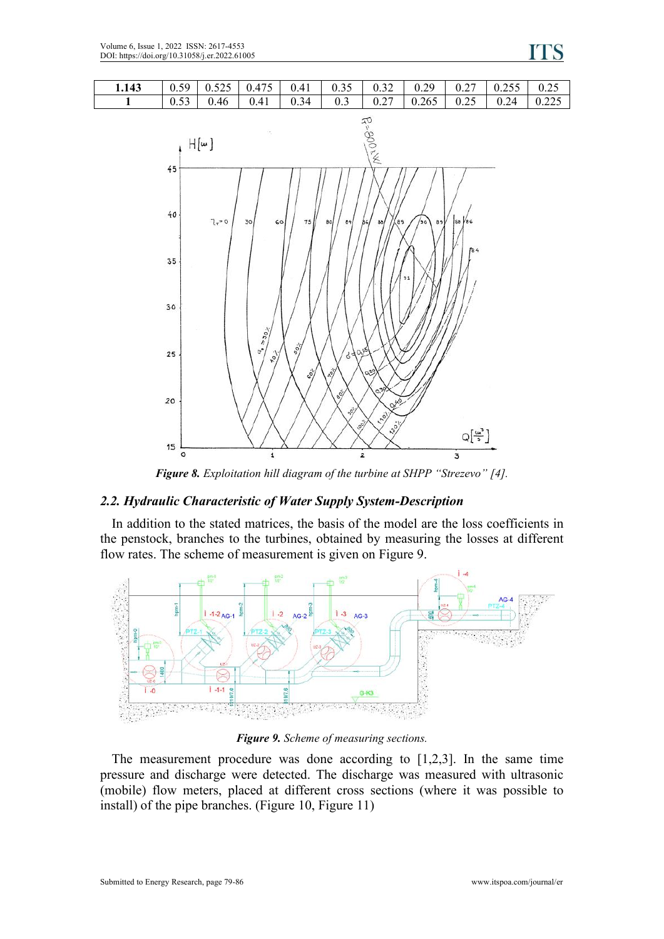

*Figure 8. Exploitation hill diagram of the turbine at SHPP "Strezevo" [4].*

#### *2.2. Hydraulic Characteristic of Water Supply System-Description*

In addition to the stated matrices, the basis of the model are the loss coefficients in the penstock, branches to the turbines, obtained by measuring the losses at different flow rates. The scheme of measurement is given on Figure 9.



*Figure 9. Scheme of measuring sections.*

The measurement procedure was done according to  $[1,2,3]$ . In the same time pressure and discharge were detected. The discharge was measured with ultrasonic (mobile) flow meters, placed at different cross sections (where it was possible to install) of the pipe branches. (Figure 10, Figure 11)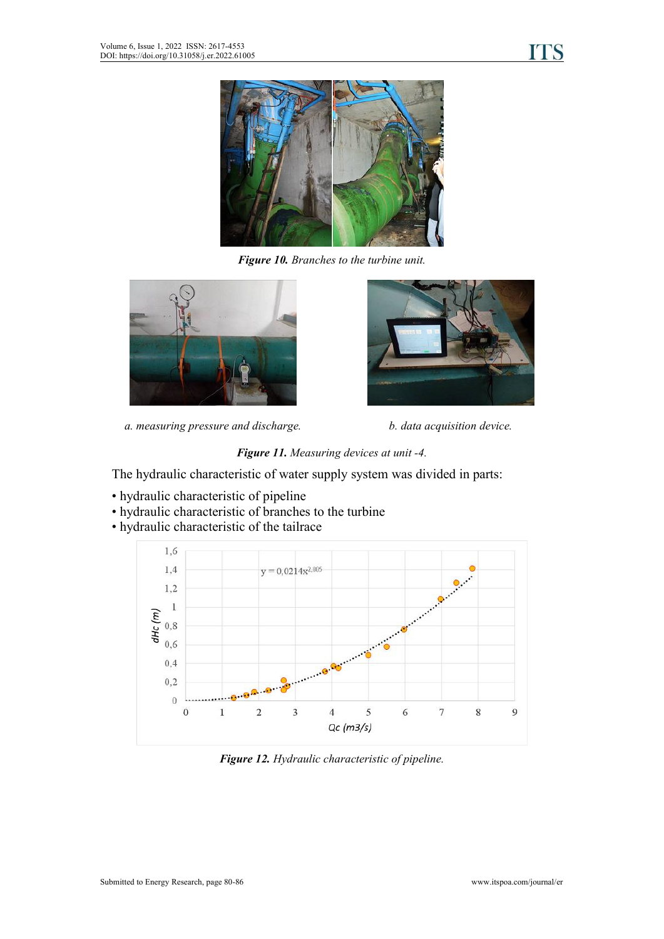

*Figure 10. Branches to the turbine unit.*



*a. measuring pressure and discharge. b. data acquisition device.*



#### *Figure 11. Measuring devices atunit -4.*

The hydraulic characteristic of water supply system was divided in parts:

- hydraulic characteristic of pipeline
- hydraulic characteristic of branches to the turbine
- hydraulic characteristic of the tailrace



*Figure 12. Hydraulic characteristic of pipeline.*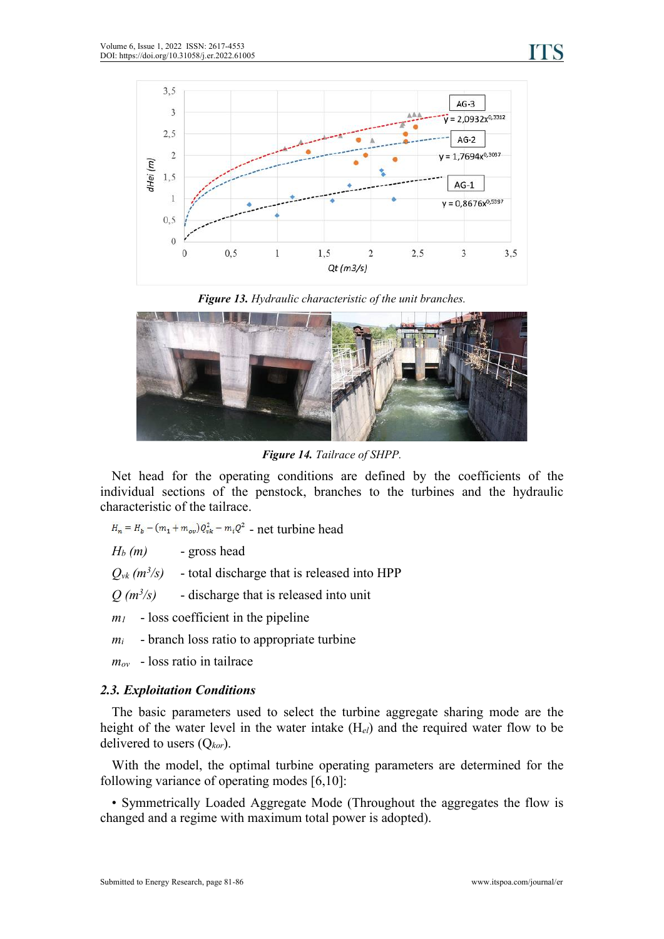

*Figure 13. Hydraulic characteristic of the unit branches.*



*Figure 14. Tailrace of SHPP.*

Net head for the operating conditions are defined by the coefficients of the individual sections of the penstock, branches to the turbines and the hydraulic characteristic of the tailrace.<br> $H_n = H_b - (m_1 + m_{ov})Q_{vk}^2 - m_iQ^2$  - net turbine head

*H<sup>b</sup> (m)* - gross head

 $Q_{vk}$  *(m<sup>3</sup>/s)* - total discharge that is released into HPP

 $Q(m^3/s)$  - discharge that is released into unit

- *m<sup>1</sup>* loss coefficient in the pipeline
- $m_i$  branch loss ratio to appropriate turbine
- *mov* loss ratio in tailrace

#### *2.3. Exploitation Conditions*

The basic parameters used to select the turbine aggregate sharing mode are the height of the water level in the water intake (H*el*) and the required water flow to be delivered to users (Q*kor*).

With the model, the optimal turbine operating parameters are determined for the following variance of operating modes [6,10]:

• Symmetrically Loaded Aggregate Mode (Throughout the aggregates the flow is changed and a regime with maximum total power is adopted).

TS.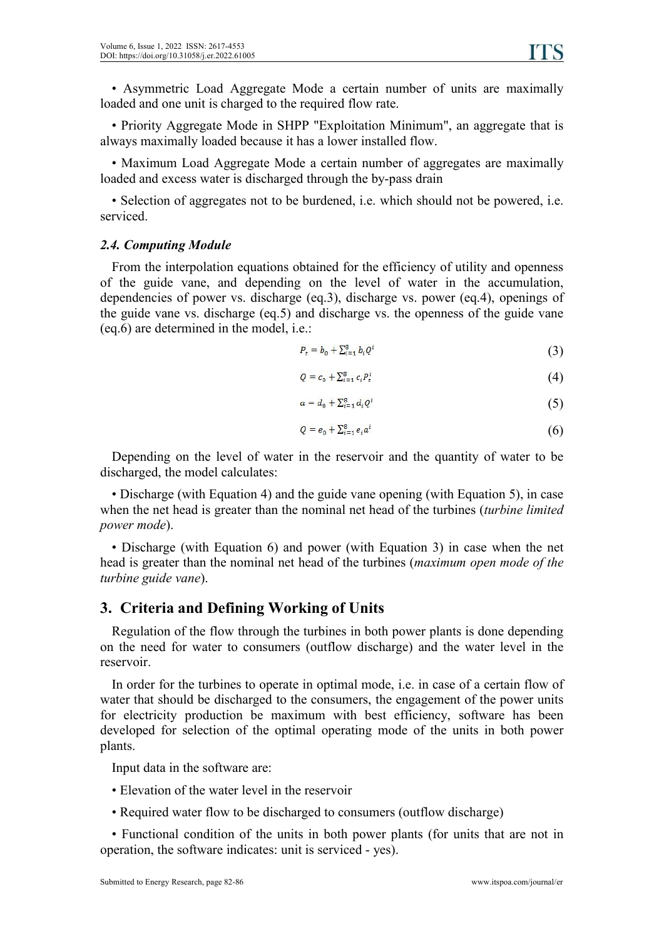• Asymmetric Load Aggregate Mode a certain number of units are maximally loaded and one unit is charged to the required flow rate.

• Priority Aggregate Mode in SHPP "Exploitation Minimum", an aggregate that is always maximally loaded because ithas a lower installed flow.

• Maximum Load Aggregate Mode a certain number of aggregates are maximally loaded and excess water is discharged through the by-pass drain

• Selection of aggregates not to be burdened, i.e. which should not be powered, i.e. serviced.

#### *2.4. Computing Module*

From the interpolation equations obtained for the efficiency of utility and openness of the guide vane, and depending on the level of water in the accumulation, dependencies of power vs. discharge (eq.3), discharge vs. power (eq.4), openings of the guide vane vs. discharge (eq.5) and discharge vs. the openness of the guide vane (eq.6) are determined in the model, i.e.:

$$
P_t = b_0 + \sum_{i=1}^8 b_i Q^i \tag{3}
$$

$$
Q = c_0 + \sum_{i=1}^8 c_i P_t^i \tag{4}
$$

$$
a = d_0 + \sum_{i=1}^8 d_i Q^i \tag{5}
$$

$$
Q = e_0 + \sum_{i=1}^8 e_i a^i \tag{6}
$$

Depending on the level of water in the reservoir and the quantity of water to be discharged, the model calculates:

• Discharge (with Equation 4) and the guide vane opening (with Equation 5), in case when the net head is greater than the nominal net head of the turbines (*turbine limited power mode*).

• Discharge (with Equation 6) and power (with Equation 3) in case when the net head is greater than the nominal net head of the turbines (*maximum open mode of the turbine guide vane*).

# **3. Criteria and Defining Working of Units**

Regulation of the flow through the turbines in both power plants is done depending on the need for water to consumers (outflow discharge) and the water level in the reservoir.

In order for the turbines to operate in optimal mode, i.e. in case of a certain flow of water that should be discharged to the consumers, the engagement of the power units for electricity production be maximum with best efficiency, software has been developed for selection of the optimal operating mode of the units in both power plants.

Input data in the software are:

- Elevation of the water level in the reservoir
- Required water flow to be discharged to consumers (outflow discharge)

• Functional condition of the units in both power plants (for units that are not in operation, the software indicates: unit is serviced - yes).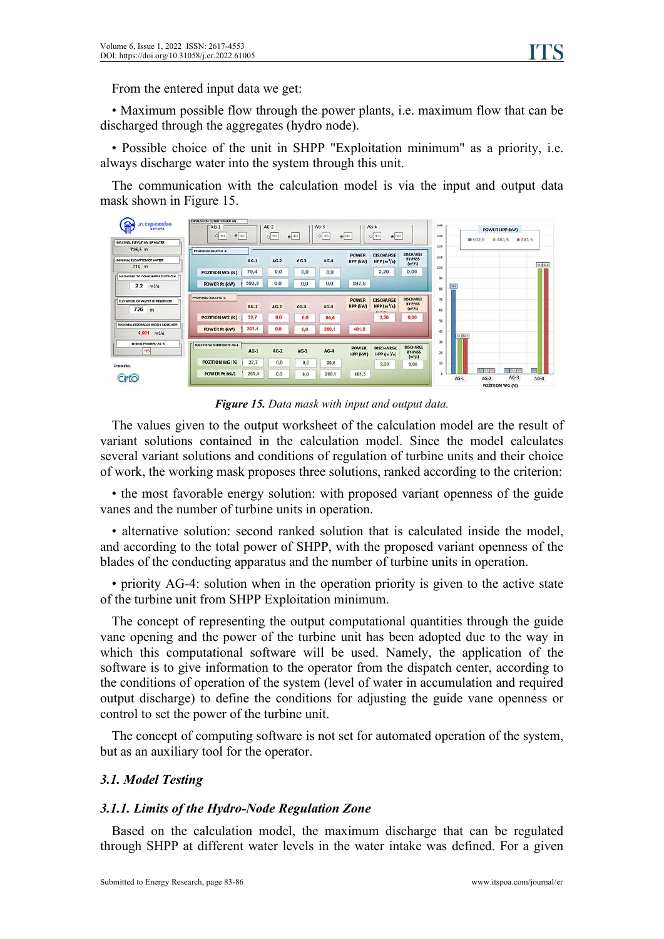From the entered input data we get:<br>• Maximum possible flow through the power plants, i.e. maximum flow that can be discharged through the aggregates (hydro node).

• Possible choice of the unit in SHPP "Exploitation minimum" as a priority, i.e. always discharge water into the system through this unit.

The communication with the calculation model is via the input and output data mask shown in Figure 15.



*Figure 15. Data mask with input and output data.*

The values given to the output worksheet of the calculation model are the result of variant solutions contained in the calculation model. Since the model calculates several variant solutions and conditions of regulation of turbine units and their choice of work, the working mask proposes three solutions, ranked according to the criterion:

• the most favorable energy solution: with proposed variant openness of the guide vanes and the number of turbine units in operation.

• alternative solution: second ranked solution that is calculated inside the model, and according to the total power of SHPP, with the proposed variant openness of the blades ofthe conducting apparatus and the number of turbine units in operation.

• priority AG-4: solution when in the operation priority is given to the active state of the turbine unit from SHPP Exploitation minimum.

The concept of representing the output computational quantities through the guide vane opening and the power of the turbine unit has been adopted due to the way in which this computational software will be used. Namely, the application of the software is to give information to the operator from the dispatch center, according to the conditions of operation of the system (level of water in accumulation and required output discharge) to define the conditions for adjusting the guide vane openness or control to set the power of the turbine unit.

The concept of computing software is not set for automated operation of the system, but as an auxiliary tool for the operator.

### *3.1. Model Testing*

### *3.1.1. Limits ofthe Hydro-Node Regulation Zone*

Based on the calculation model, the maximum discharge that can be regulated through SHPP at different water levels in the water intake was defined. For a given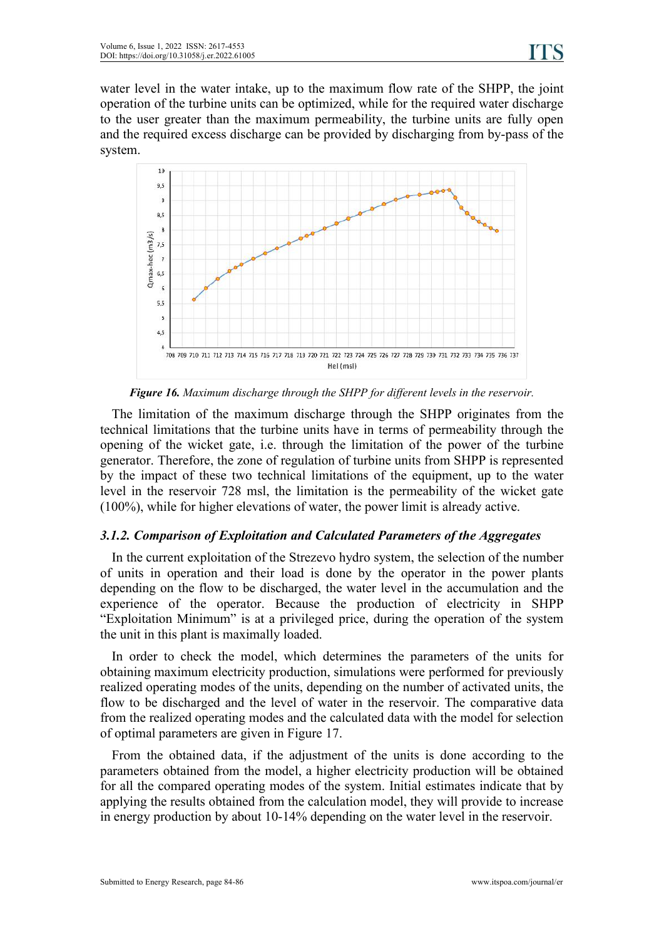water level in the water intake, up to the maximum flow rate of the SHPP, the joint operation of the turbine units can be optimized, while for the required water discharge to the user greater than the maximum permeability, the turbine units are fully open and the required excess discharge can be provided by discharging from by-pass of the system.



*Figure 16. Maximum discharge through the SHPP for dif erent levels in the reservoir.*

The limitation of the maximum discharge through the SHPP originates from the technical limitations that the turbine units have in terms of permeability through the opening of the wicket gate, i.e. through the limitation of the power of the turbine generator. Therefore, the zone of regulation of turbine units from SHPP is represented by the impact of these two technical limitations of the equipment, up to the water level in the reservoir 728 msl, the limitation is the permeability of the wicket gate (100%), while for higher elevations of water, the power limit is already active.

### *3.1.2. Comparison of Exploitation and Calculated Parameters ofthe Aggregates*

In the current exploitation of the Strezevo hydro system, the selection of the number of units in operation and their load is done by the operator in the power plants depending on the flow to be discharged, the water level in the accumulation and the experience of the operator. Because the production of electricity in SHPP "Exploitation Minimum" is at a privileged price, during the operation of the system the unit in this plant is maximally loaded.

In order to check the model, which determines the parameters of the units for obtaining maximum electricity production, simulations were performed for previously realized operating modes of the units, depending on the number of activated units, the flow to be discharged and the level of water in the reservoir. The comparative data from the realized operating modes and the calculated data with the model for selection of optimal parameters are given in Figure 17.

From the obtained data, if the adjustment of the units is done according to the parameters obtained from the model, a higher electricity production will be obtained for all the compared operating modes of the system. Initial estimates indicate that by applying the results obtained from the calculation model, they will provide to increase in energy production by about 10-14% depending on the water level in the reservoir.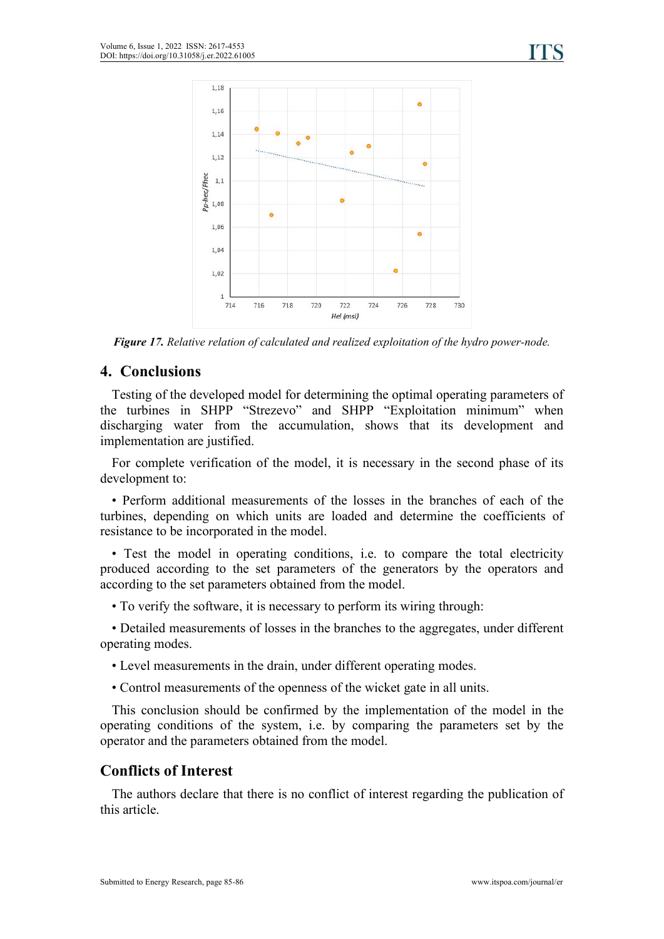

*Figure 17. Relative relation of calculated and realized exploitation of the hydro power-node.*

## **4. Conclusions**

Testing of the developed model for determining the optimal operating parameters of the turbines in SHPP "Strezevo" and SHPP "Exploitation minimum" when discharging water from the accumulation, shows that its development and implementation are justified.

For complete verification of the model, it is necessary in the second phase of its development to:

• Perform additional measurements of the losses in the branches of each of the turbines, depending on which units are loaded and determine the coefficients of resistance to be incorporated in the model.

• Test the model in operating conditions, i.e. to compare the total electricity produced according to the set parameters of the generators by the operators and according to the set parameters obtained from the model.

• To verify the software, it is necessary to perform its wiring through:

• Detailed measurements of losses in the branches to the aggregates, under different operating modes.

- Level measurements in the drain, under different operating modes.
- Control measurements of the openness of the wicket gate in all units.

This conclusion should be confirmed by the implementation of the model in the operating conditions of the system, i.e. by comparing the parameters set by the operator and the parameters obtained from the model.

# **Conflicts of Interest**

The authors declare that there is no conflict of interest regarding the publication of this article.